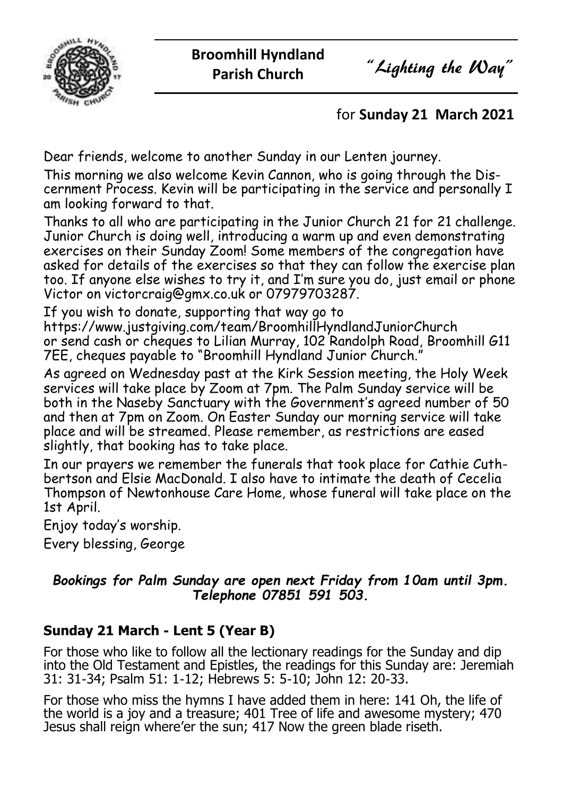

## for **Sunday 21 March 2021**

Dear friends, welcome to another Sunday in our Lenten journey.

This morning we also welcome Kevin Cannon, who is going through the Discernment Process. Kevin will be participating in the service and personally I am looking forward to that.

Thanks to all who are participating in the Junior Church 21 for 21 challenge. Junior Church is doing well, introducing a warm up and even demonstrating exercises on their Sunday Zoom! Some members of the congregation have asked for details of the exercises so that they can follow the exercise plan too. If anyone else wishes to try it, and I'm sure you do, just email or phone Victor on victorcraig@gmx.co.uk or 07979703287.

If you wish to donate, supporting that way go to https://www.justgiving.com/team/BroomhillHyndlandJuniorChurch or send cash or cheques to Lilian Murray, 102 Randolph Road, Broomhill G11 7EE, cheques payable to "Broomhill Hyndland Junior Church."

As agreed on Wednesday past at the Kirk Session meeting, the Holy Week services will take place by Zoom at 7pm. The Palm Sunday service will be both in the Naseby Sanctuary with the Government's agreed number of 50 and then at 7pm on Zoom. On Easter Sunday our morning service will take place and will be streamed. Please remember, as restrictions are eased slightly, that booking has to take place.

In our prayers we remember the funerals that took place for Cathie Cuthbertson and Elsie MacDonald. I also have to intimate the death of Cecelia Thompson of Newtonhouse Care Home, whose funeral will take place on the 1st April.

Enjoy today's worship.

Every blessing, George

#### *Bookings for Palm Sunday are open next Friday from 10am until 3pm. Telephone 07851 591 503.*

## **Sunday 21 March - Lent 5 (Year B)**

For those who like to follow all the lectionary readings for the Sunday and dip into the Old Testament and Epistles, the readings for this Sunday are: Jeremiah 31: 31-34; Psalm 51: 1-12; Hebrews 5: 5-10; John 12: 20-33.

For those who miss the hymns I have added them in here: 141 Oh, the life of the world is a joy and a treasure; 401 Tree of life and awesome mystery; 470 Jesus shall reign where'er the sun; 417 Now the green blade riseth.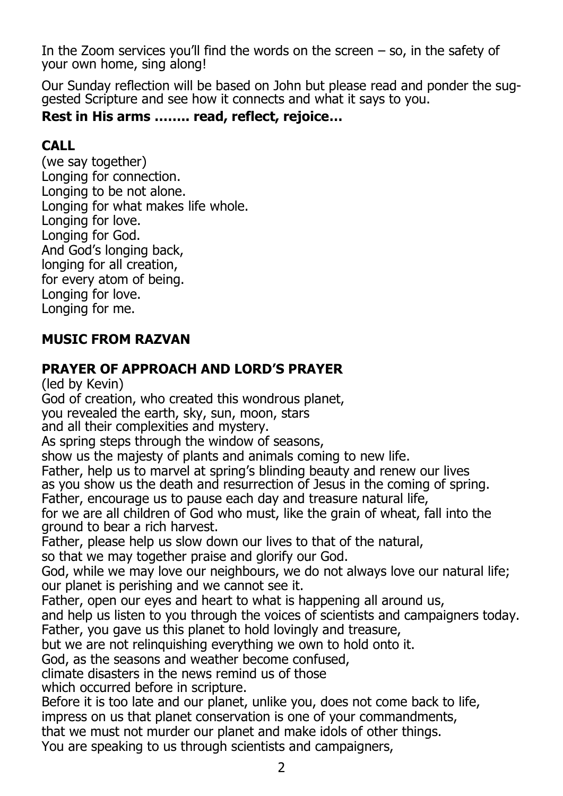In the Zoom services you'll find the words on the screen  $-$  so, in the safety of your own home, sing along!

Our Sunday reflection will be based on John but please read and ponder the suggested Scripture and see how it connects and what it says to you.

## **Rest in His arms …….. read, reflect, rejoice…**

## **CALL**

(we say together) Longing for connection. Longing to be not alone. Longing for what makes life whole. Longing for love. Longing for God. And God's longing back, longing for all creation, for every atom of being. Longing for love. Longing for me.

## **MUSIC FROM RAZVAN**

## **PRAYER OF APPROACH AND LORD'S PRAYER**

(led by Kevin) God of creation, who created this wondrous planet, you revealed the earth, sky, sun, moon, stars and all their complexities and mystery. As spring steps through the window of seasons, show us the majesty of plants and animals coming to new life. Father, help us to marvel at spring's blinding beauty and renew our lives as you show us the death and resurrection of Jesus in the coming of spring. Father, encourage us to pause each day and treasure natural life, for we are all children of God who must, like the grain of wheat, fall into the ground to bear a rich harvest. Father, please help us slow down our lives to that of the natural, so that we may together praise and glorify our God. God, while we may love our neighbours, we do not always love our natural life; our planet is perishing and we cannot see it. Father, open our eyes and heart to what is happening all around us, and help us listen to you through the voices of scientists and campaigners today. Father, you gave us this planet to hold lovingly and treasure, but we are not relinquishing everything we own to hold onto it. God, as the seasons and weather become confused, climate disasters in the news remind us of those which occurred before in scripture. Before it is too late and our planet, unlike you, does not come back to life, impress on us that planet conservation is one of your commandments, that we must not murder our planet and make idols of other things. You are speaking to us through scientists and campaigners,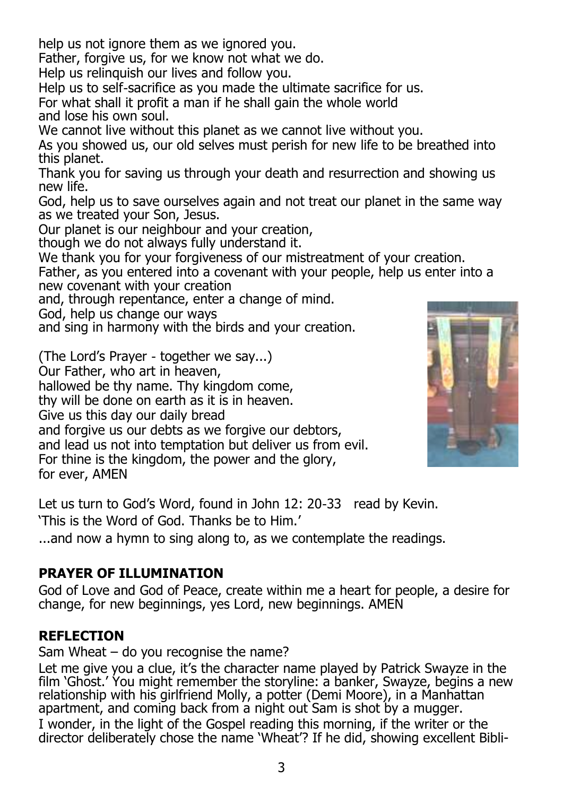help us not janore them as we janored you.

Father, forgive us, for we know not what we do.

Help us relinquish our lives and follow you.

Help us to self-sacrifice as you made the ultimate sacrifice for us.

For what shall it profit a man if he shall gain the whole world and lose his own soul.

We cannot live without this planet as we cannot live without you.

As you showed us, our old selves must perish for new life to be breathed into this planet.

Thank you for saving us through your death and resurrection and showing us new life.

God, help us to save ourselves again and not treat our planet in the same way as we treated your Son, Jesus.

Our planet is our neighbour and your creation,

though we do not always fully understand it.

We thank you for your forgiveness of our mistreatment of your creation.

Father, as you entered into a covenant with your people, help us enter into a new covenant with your creation

and, through repentance, enter a change of mind.

God, help us change our ways

and sing in harmony with the birds and your creation.

(The Lord's Prayer - together we say...)

Our Father, who art in heaven,

hallowed be thy name. Thy kingdom come,

thy will be done on earth as it is in heaven.

Give us this day our daily bread

and forgive us our debts as we forgive our debtors,

and lead us not into temptation but deliver us from evil.

For thine is the kingdom, the power and the glory,

for ever, AMEN



Let us turn to God's Word, found in John 12: 20-33 read by Kevin.

'This is the Word of God. Thanks be to Him.'

...and now a hymn to sing along to, as we contemplate the readings.

# **PRAYER OF ILLUMINATION**

God of Love and God of Peace, create within me a heart for people, a desire for change, for new beginnings, yes Lord, new beginnings. AMEN

# **REFLECTION**

Sam Wheat – do you recognise the name?

Let me give you a clue, it's the character name played by Patrick Swayze in the film 'Ghost.' You might remember the storyline: a banker, Swayze, begins a new relationship with his girlfriend Molly, a potter (Demi Moore), in a Manhattan apartment, and coming back from a night out Sam is shot by a mugger. I wonder, in the light of the Gospel reading this morning, if the writer or the director deliberately chose the name 'Wheat'? If he did, showing excellent Bibli-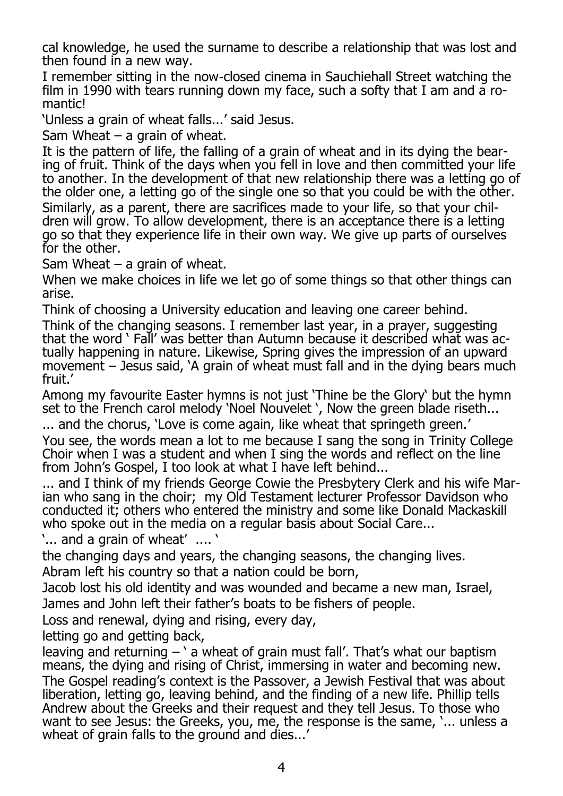cal knowledge, he used the surname to describe a relationship that was lost and then found in a new way.

I remember sitting in the now-closed cinema in Sauchiehall Street watching the film in 1990 with tears running down my face, such a softy that I am and a romantic!

'Unless a grain of wheat falls...' said Jesus.

Sam Wheat  $-$  a grain of wheat.

It is the pattern of life, the falling of a grain of wheat and in its dying the bearing of fruit. Think of the days when you fell in love and then committed your life to another. In the development of that new relationship there was a letting go of the older one, a letting go of the single one so that you could be with the other. Similarly, as a parent, there are sacrifices made to your life, so that your children will grow. To allow development, there is an acceptance there is a letting go so that they experience life in their own way. We give up parts of ourselves for the other.

Sam Wheat  $-$  a grain of wheat.

When we make choices in life we let go of some things so that other things can arise.

Think of choosing a University education and leaving one career behind.

Think of the changing seasons. I remember last year, in a prayer, suggesting that the word ' Fall' was better than Autumn because it described what was actually happening in nature. Likewise, Spring gives the impression of an upward movement – Jesus said, 'A grain of wheat must fall and in the dying bears much fruit.'

Among my favourite Easter hymns is not just 'Thine be the Glory' but the hymn set to the French carol melody 'Noel Nouvelet', Now the green blade riseth...

... and the chorus, 'Love is come again, like wheat that springeth green.'

You see, the words mean a lot to me because I sang the song in Trinity College Choir when I was a student and when I sing the words and reflect on the line from John's Gospel, I too look at what I have left behind...

... and I think of my friends George Cowie the Presbytery Clerk and his wife Marian who sang in the choir; my Old Testament lecturer Professor Davidson who conducted it; others who entered the ministry and some like Donald Mackaskill who spoke out in the media on a regular basis about Social Care...

'... and a grain of wheat' .... '

the changing days and years, the changing seasons, the changing lives.

Abram left his country so that a nation could be born,

Jacob lost his old identity and was wounded and became a new man, Israel, James and John left their father's boats to be fishers of people.

Loss and renewal, dying and rising, every day,

letting go and getting back,

leaving and returning  $-$  ' a wheat of grain must fall'. That's what our baptism means, the dying and rising of Christ, immersing in water and becoming new. The Gospel reading's context is the Passover, a Jewish Festival that was about liberation, letting go, leaving behind, and the finding of a new life. Phillip tells Andrew about the Greeks and their request and they tell Jesus. To those who want to see Jesus: the Greeks, you, me, the response is the same, '... unless a wheat of grain falls to the ground and dies...'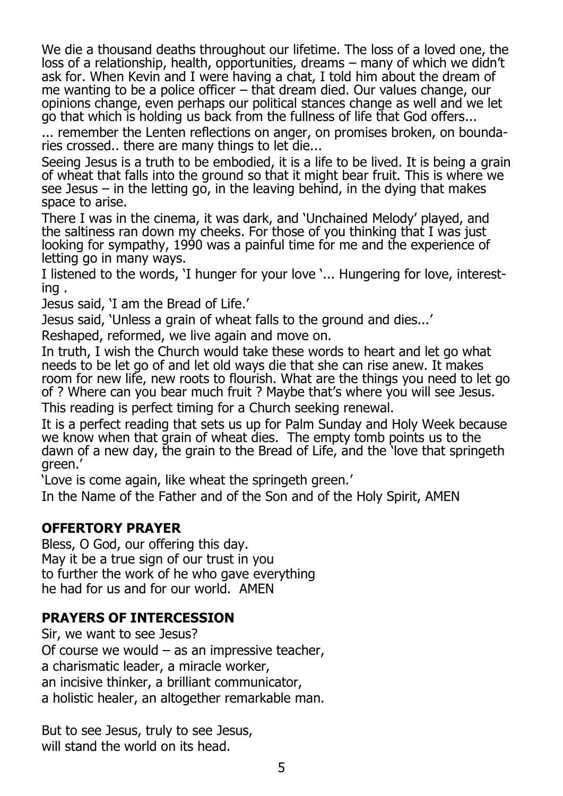We die a thousand deaths throughout our lifetime. The loss of a loved one, the loss of a relationship, health, opportunities, dreams – many of which we didn't ask for. When Kevin and I were having a chat, I told him about the dream of me wanting to be a police officer – that dream died. Our values change, our opinions change, even perhaps our political stances change as well and we let go that which is holding us back from the fullness of life that God offers...

... remember the Lenten reflections on anger, on promises broken, on boundaries crossed.. there are many things to let die...

Seeing Jesus is a truth to be embodied, it is a life to be lived. It is being a grain of wheat that falls into the ground so that it might bear fruit. This is where we see Jesus – in the letting go, in the leaving behind, in the dying that makes space to arise.

There I was in the cinema, it was dark, and 'Unchained Melody' played, and the saltiness ran down my cheeks. For those of you thinking that I was just looking for sympathy, 1990 was a painful time for me and the experience of letting go in many ways.

I listened to the words, 'I hunger for your love '... Hungering for love, interesting .

Jesus said, 'I am the Bread of Life.'

Jesus said, 'Unless a grain of wheat falls to the ground and dies...'

Reshaped, reformed, we live again and move on.

In truth, I wish the Church would take these words to heart and let go what needs to be let go of and let old ways die that she can rise anew. It makes room for new life, new roots to flourish. What are the things you need to let go of ? Where can you bear much fruit ? Maybe that's where you will see Jesus.

This reading is perfect timing for a Church seeking renewal.

It is a perfect reading that sets us up for Palm Sunday and Holy Week because we know when that grain of wheat dies. The empty tomb points us to the dawn of a new day, the grain to the Bread of Life, and the 'love that springeth green.'

'Love is come again, like wheat the springeth green.'

In the Name of the Father and of the Son and of the Holy Spirit, AMEN

### **OFFERTORY PRAYER**

Bless, O God, our offering this day. May it be a true sign of our trust in you to further the work of he who gave everything he had for us and for our world. AMEN

### **PRAYERS OF INTERCESSION**

Sir, we want to see Jesus? Of course we would – as an impressive teacher, a charismatic leader, a miracle worker, an incisive thinker, a brilliant communicator, a holistic healer, an altogether remarkable man.

But to see Jesus, truly to see Jesus, will stand the world on its head.